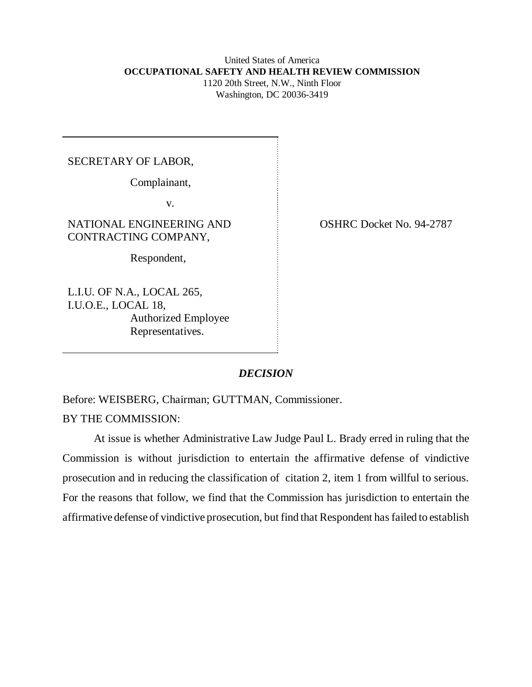#### United States of America  **OCCUPATIONAL SAFETY AND HEALTH REVIEW COMMISSION** 1120 20th Street, N.W., Ninth Floor Washington, DC 20036-3419

### SECRETARY OF LABOR,

Complainant,

v.

NATIONAL ENGINEERING AND CONTRACTING COMPANY,

Respondent,

L.I.U. OF N.A., LOCAL 265, I.U.O.E., LOCAL 18, Authorized Employee Representatives.

OSHRC Docket No. 94-2787

# *DECISION*

Before: WEISBERG, Chairman; GUTTMAN, Commissioner.

BY THE COMMISSION:

At issue is whether Administrative Law Judge Paul L. Brady erred in ruling that the Commission is without jurisdiction to entertain the affirmative defense of vindictive prosecution and in reducing the classification of citation 2, item 1 from willful to serious. For the reasons that follow, we find that the Commission has jurisdiction to entertain the affirmative defense of vindictive prosecution, but find that Respondent has failed to establish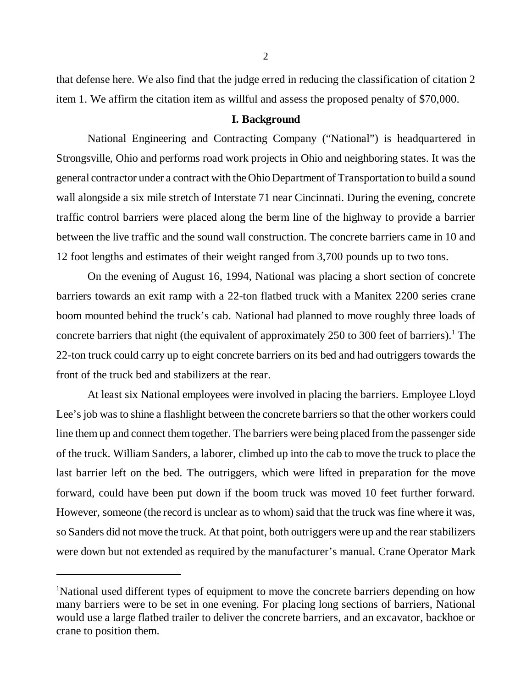that defense here. We also find that the judge erred in reducing the classification of citation 2 item 1. We affirm the citation item as willful and assess the proposed penalty of \$70,000.

#### **I. Background**

National Engineering and Contracting Company ("National") is headquartered in Strongsville, Ohio and performs road work projects in Ohio and neighboring states. It was the general contractor under a contract with the Ohio Department of Transportation to build a sound wall alongside a six mile stretch of Interstate 71 near Cincinnati. During the evening, concrete traffic control barriers were placed along the berm line of the highway to provide a barrier between the live traffic and the sound wall construction. The concrete barriers came in 10 and 12 foot lengths and estimates of their weight ranged from 3,700 pounds up to two tons.

On the evening of August 16, 1994, National was placing a short section of concrete barriers towards an exit ramp with a 22-ton flatbed truck with a Manitex 2200 series crane boom mounted behind the truck's cab. National had planned to move roughly three loads of concrete barriers that night (the equivalent of approximately 250 to 300 feet of barriers).<sup>1</sup> The 22-ton truck could carry up to eight concrete barriers on its bed and had outriggers towards the front of the truck bed and stabilizers at the rear.

At least six National employees were involved in placing the barriers. Employee Lloyd Lee's job was to shine a flashlight between the concrete barriers so that the other workers could line them up and connect them together. The barriers were being placed from the passenger side of the truck. William Sanders, a laborer, climbed up into the cab to move the truck to place the last barrier left on the bed. The outriggers, which were lifted in preparation for the move forward, could have been put down if the boom truck was moved 10 feet further forward. However, someone (the record is unclear as to whom) said that the truck was fine where it was, so Sanders did not move the truck. At that point, both outriggers were up and the rear stabilizers were down but not extended as required by the manufacturer's manual. Crane Operator Mark

<sup>&</sup>lt;sup>1</sup>National used different types of equipment to move the concrete barriers depending on how many barriers were to be set in one evening. For placing long sections of barriers, National would use a large flatbed trailer to deliver the concrete barriers, and an excavator, backhoe or crane to position them.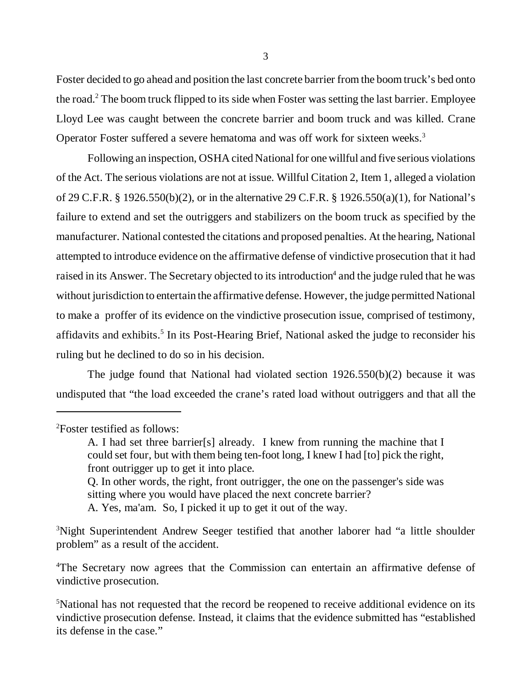Foster decided to go ahead and position the last concrete barrier from the boom truck's bed onto the road.<sup>2</sup> The boom truck flipped to its side when Foster was setting the last barrier. Employee Lloyd Lee was caught between the concrete barrier and boom truck and was killed. Crane Operator Foster suffered a severe hematoma and was off work for sixteen weeks.<sup>3</sup>

Following an inspection, OSHA cited National for one willful and five serious violations of the Act. The serious violations are not at issue. Willful Citation 2, Item 1, alleged a violation of 29 C.F.R. § 1926.550(b)(2), or in the alternative 29 C.F.R. § 1926.550(a)(1), for National's failure to extend and set the outriggers and stabilizers on the boom truck as specified by the manufacturer. National contested the citations and proposed penalties. At the hearing, National attempted to introduce evidence on the affirmative defense of vindictive prosecution that it had raised in its Answer. The Secretary objected to its introduction<sup>4</sup> and the judge ruled that he was without jurisdiction to entertain the affirmative defense. However, the judge permitted National to make a proffer of its evidence on the vindictive prosecution issue, comprised of testimony, affidavits and exhibits.<sup>5</sup> In its Post-Hearing Brief, National asked the judge to reconsider his ruling but he declined to do so in his decision.

The judge found that National had violated section 1926.550(b)(2) because it was undisputed that "the load exceeded the crane's rated load without outriggers and that all the

sitting where you would have placed the next concrete barrier?

A. Yes, ma'am. So, I picked it up to get it out of the way.

<sup>3</sup>Night Superintendent Andrew Seeger testified that another laborer had "a little shoulder problem" as a result of the accident.

<sup>4</sup>The Secretary now agrees that the Commission can entertain an affirmative defense of vindictive prosecution.

<sup>2</sup>Foster testified as follows:

A. I had set three barrier[s] already. I knew from running the machine that I could set four, but with them being ten-foot long, I knew I had [to] pick the right, front outrigger up to get it into place. Q. In other words, the right, front outrigger, the one on the passenger's side was

<sup>&</sup>lt;sup>5</sup>National has not requested that the record be reopened to receive additional evidence on its vindictive prosecution defense. Instead, it claims that the evidence submitted has "established its defense in the case."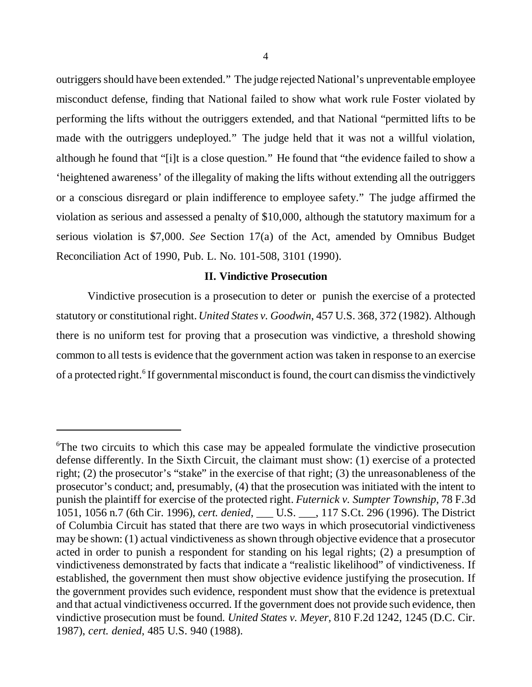outriggers should have been extended." The judge rejected National's unpreventable employee misconduct defense, finding that National failed to show what work rule Foster violated by performing the lifts without the outriggers extended, and that National "permitted lifts to be made with the outriggers undeployed." The judge held that it was not a willful violation, although he found that "[i]t is a close question." He found that "the evidence failed to show a 'heightened awareness' of the illegality of making the lifts without extending all the outriggers or a conscious disregard or plain indifference to employee safety." The judge affirmed the violation as serious and assessed a penalty of \$10,000, although the statutory maximum for a serious violation is \$7,000. *See* Section 17(a) of the Act, amended by Omnibus Budget Reconciliation Act of 1990, Pub. L. No. 101-508, 3101 (1990).

#### **II. Vindictive Prosecution**

Vindictive prosecution is a prosecution to deter or punish the exercise of a protected statutory or constitutional right. *United States v. Goodwin*, 457 U.S. 368, 372 (1982). Although there is no uniform test for proving that a prosecution was vindictive, a threshold showing common to all tests is evidence that the government action was taken in response to an exercise of a protected right.<sup>6</sup> If governmental misconduct is found, the court can dismiss the vindictively

<sup>&</sup>lt;sup>6</sup>The two circuits to which this case may be appealed formulate the vindictive prosecution defense differently. In the Sixth Circuit, the claimant must show: (1) exercise of a protected right; (2) the prosecutor's "stake" in the exercise of that right; (3) the unreasonableness of the prosecutor's conduct; and, presumably, (4) that the prosecution was initiated with the intent to punish the plaintiff for exercise of the protected right. *Futernick v. Sumpter Township,* 78 F.3d 1051, 1056 n.7 (6th Cir. 1996), *cert. denied*, \_\_\_ U.S. \_\_\_, 117 S.Ct. 296 (1996). The District of Columbia Circuit has stated that there are two ways in which prosecutorial vindictiveness may be shown: (1) actual vindictiveness as shown through objective evidence that a prosecutor acted in order to punish a respondent for standing on his legal rights; (2) a presumption of vindictiveness demonstrated by facts that indicate a "realistic likelihood" of vindictiveness. If established, the government then must show objective evidence justifying the prosecution. If the government provides such evidence, respondent must show that the evidence is pretextual and that actual vindictiveness occurred. If the government does not provide such evidence, then vindictive prosecution must be found. *United States v. Meyer,* 810 F.2d 1242, 1245 (D.C. Cir. 1987), *cert. denied*, 485 U.S. 940 (1988).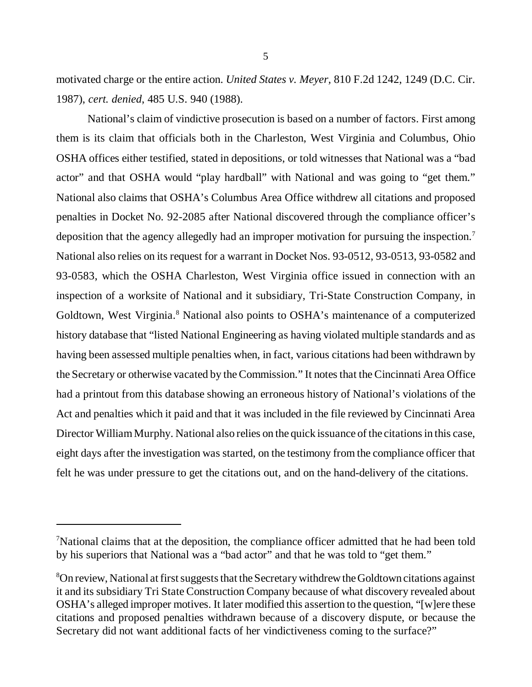motivated charge or the entire action. *United States v. Meyer,* 810 F.2d 1242, 1249 (D.C. Cir. 1987), *cert. denied*, 485 U.S. 940 (1988).

National's claim of vindictive prosecution is based on a number of factors. First among them is its claim that officials both in the Charleston, West Virginia and Columbus, Ohio OSHA offices either testified, stated in depositions, or told witnesses that National was a "bad actor" and that OSHA would "play hardball" with National and was going to "get them." National also claims that OSHA's Columbus Area Office withdrew all citations and proposed penalties in Docket No. 92-2085 after National discovered through the compliance officer's deposition that the agency allegedly had an improper motivation for pursuing the inspection.<sup>7</sup> National also relies on its request for a warrant in Docket Nos. 93-0512, 93-0513, 93-0582 and 93-0583, which the OSHA Charleston, West Virginia office issued in connection with an inspection of a worksite of National and it subsidiary, Tri-State Construction Company, in Goldtown, West Virginia.<sup>8</sup> National also points to OSHA's maintenance of a computerized history database that "listed National Engineering as having violated multiple standards and as having been assessed multiple penalties when, in fact, various citations had been withdrawn by the Secretary or otherwise vacated by the Commission." It notes that the Cincinnati Area Office had a printout from this database showing an erroneous history of National's violations of the Act and penalties which it paid and that it was included in the file reviewed by Cincinnati Area Director William Murphy. National also relies on the quick issuance of the citations in this case, eight days after the investigation was started, on the testimony from the compliance officer that felt he was under pressure to get the citations out, and on the hand-delivery of the citations.

<sup>7</sup>National claims that at the deposition, the compliance officer admitted that he had been told by his superiors that National was a "bad actor" and that he was told to "get them."

 $8$ On review, National at first suggests that the Secretary withdrew the Goldtown citations against it and its subsidiary Tri State Construction Company because of what discovery revealed about OSHA's alleged improper motives. It later modified this assertion to the question, "[w]ere these citations and proposed penalties withdrawn because of a discovery dispute, or because the Secretary did not want additional facts of her vindictiveness coming to the surface?"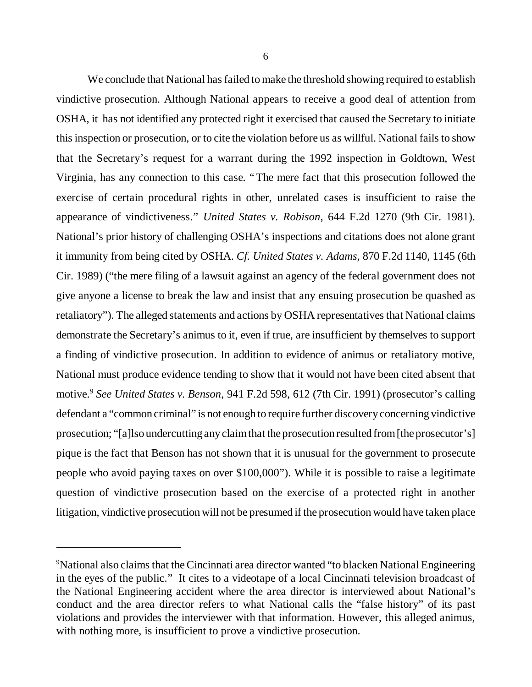We conclude that National has failed to make the threshold showing required to establish vindictive prosecution. Although National appears to receive a good deal of attention from OSHA, it has not identified any protected right it exercised that caused the Secretary to initiate this inspection or prosecution, or to cite the violation before us as willful. National fails to show that the Secretary's request for a warrant during the 1992 inspection in Goldtown, West Virginia, has any connection to this case. "The mere fact that this prosecution followed the exercise of certain procedural rights in other, unrelated cases is insufficient to raise the appearance of vindictiveness." *United States v. Robison*, 644 F.2d 1270 (9th Cir. 1981). National's prior history of challenging OSHA's inspections and citations does not alone grant it immunity from being cited by OSHA. *Cf. United States v. Adams*, 870 F.2d 1140, 1145 (6th Cir. 1989) ("the mere filing of a lawsuit against an agency of the federal government does not give anyone a license to break the law and insist that any ensuing prosecution be quashed as retaliatory"). The alleged statements and actions by OSHA representatives that National claims demonstrate the Secretary's animus to it, even if true, are insufficient by themselves to support a finding of vindictive prosecution. In addition to evidence of animus or retaliatory motive, National must produce evidence tending to show that it would not have been cited absent that motive.<sup>9</sup> *See United States v. Benson*, 941 F.2d 598, 612 (7th Cir. 1991) (prosecutor's calling defendant a "common criminal" is not enough to require further discovery concerning vindictive prosecution; "[a]lso undercutting any claim that the prosecution resulted from [the prosecutor's] pique is the fact that Benson has not shown that it is unusual for the government to prosecute people who avoid paying taxes on over \$100,000"). While it is possible to raise a legitimate question of vindictive prosecution based on the exercise of a protected right in another litigation, vindictive prosecution will not be presumed if the prosecution would have taken place

<sup>&</sup>lt;sup>9</sup>National also claims that the Cincinnati area director wanted "to blacken National Engineering in the eyes of the public." It cites to a videotape of a local Cincinnati television broadcast of the National Engineering accident where the area director is interviewed about National's conduct and the area director refers to what National calls the "false history" of its past violations and provides the interviewer with that information. However, this alleged animus, with nothing more, is insufficient to prove a vindictive prosecution.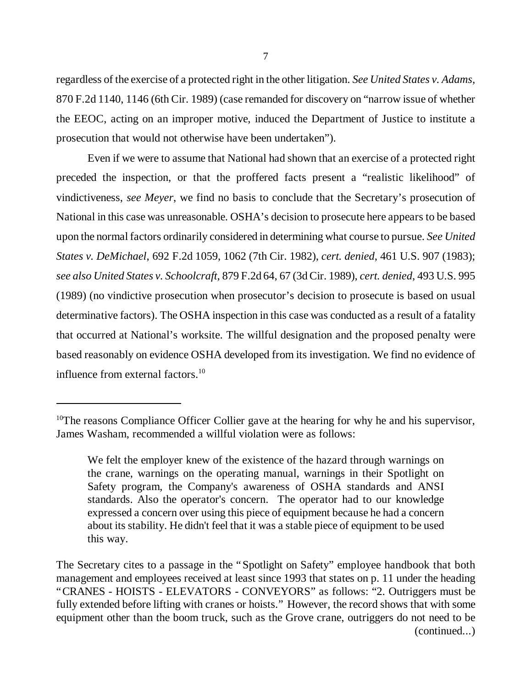regardless of the exercise of a protected right in the other litigation. *See United States v. Adams*, 870 F.2d 1140, 1146 (6th Cir. 1989) (case remanded for discovery on "narrow issue of whether the EEOC, acting on an improper motive, induced the Department of Justice to institute a prosecution that would not otherwise have been undertaken").

Even if we were to assume that National had shown that an exercise of a protected right preceded the inspection, or that the proffered facts present a "realistic likelihood" of vindictiveness, *see Meyer*, we find no basis to conclude that the Secretary's prosecution of National in this case was unreasonable. OSHA's decision to prosecute here appears to be based upon the normal factors ordinarily considered in determining what course to pursue. *See United States v. DeMichael*, 692 F.2d 1059, 1062 (7th Cir. 1982), *cert. denied*, 461 U.S. 907 (1983); *see also United States v. Schoolcraft*, 879 F.2d 64, 67 (3d Cir. 1989), *cert. denied*, 493 U.S. 995 (1989) (no vindictive prosecution when prosecutor's decision to prosecute is based on usual determinative factors). The OSHA inspection in this case was conducted as a result of a fatality that occurred at National's worksite. The willful designation and the proposed penalty were based reasonably on evidence OSHA developed from its investigation. We find no evidence of influence from external factors.<sup>10</sup>

<sup>&</sup>lt;sup>10</sup>The reasons Compliance Officer Collier gave at the hearing for why he and his supervisor, James Washam, recommended a willful violation were as follows:

We felt the employer knew of the existence of the hazard through warnings on the crane, warnings on the operating manual, warnings in their Spotlight on Safety program, the Company's awareness of OSHA standards and ANSI standards. Also the operator's concern. The operator had to our knowledge expressed a concern over using this piece of equipment because he had a concern about its stability. He didn't feel that it was a stable piece of equipment to be used this way.

The Secretary cites to a passage in the "Spotlight on Safety" employee handbook that both management and employees received at least since 1993 that states on p. 11 under the heading "CRANES - HOISTS - ELEVATORS - CONVEYORS" as follows: "2. Outriggers must be fully extended before lifting with cranes or hoists." However, the record shows that with some equipment other than the boom truck, such as the Grove crane, outriggers do not need to be (continued...)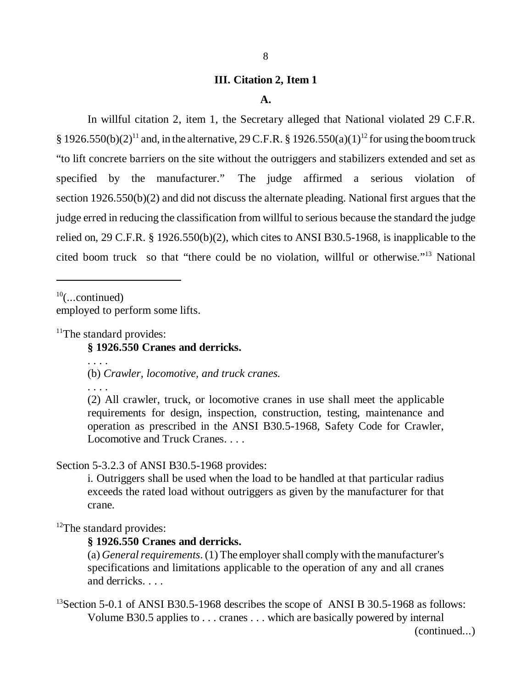#### **III. Citation 2, Item 1**

#### **A.**

In willful citation 2, item 1, the Secretary alleged that National violated 29 C.F.R.  $\S 1926.550(b)(2)^{11}$  and, in the alternative, 29 C.F.R.  $\S 1926.550(a)(1)^{12}$  for using the boom truck "to lift concrete barriers on the site without the outriggers and stabilizers extended and set as specified by the manufacturer." The judge affirmed a serious violation of section 1926.550(b)(2) and did not discuss the alternate pleading. National first argues that the judge erred in reducing the classification from willful to serious because the standard the judge relied on, 29 C.F.R. § 1926.550(b)(2), which cites to ANSI B30.5-1968, is inapplicable to the cited boom truck so that "there could be no violation, willful or otherwise." 13 National

 $10$ (...continued)

employed to perform some lifts.

<sup>11</sup>The standard provides:

#### **§ 1926.550 Cranes and derricks.**

(b) *Crawler, locomotive, and truck cranes.*

. . . .

. . . .

(2) All crawler, truck, or locomotive cranes in use shall meet the applicable requirements for design, inspection, construction, testing, maintenance and operation as prescribed in the ANSI B30.5-1968, Safety Code for Crawler, Locomotive and Truck Cranes. . . .

Section 5-3.2.3 of ANSI B30.5-1968 provides:

i. Outriggers shall be used when the load to be handled at that particular radius exceeds the rated load without outriggers as given by the manufacturer for that crane.

<sup>12</sup>The standard provides:

**§ 1926.550 Cranes and derricks.**

(a) *General requirements*. (1) The employer shall comply with the manufacturer's specifications and limitations applicable to the operation of any and all cranes and derricks. . . .

<sup>13</sup>Section 5-0.1 of ANSI B30.5-1968 describes the scope of ANSI B 30.5-1968 as follows: Volume B30.5 applies to . . . cranes . . . which are basically powered by internal

(continued...)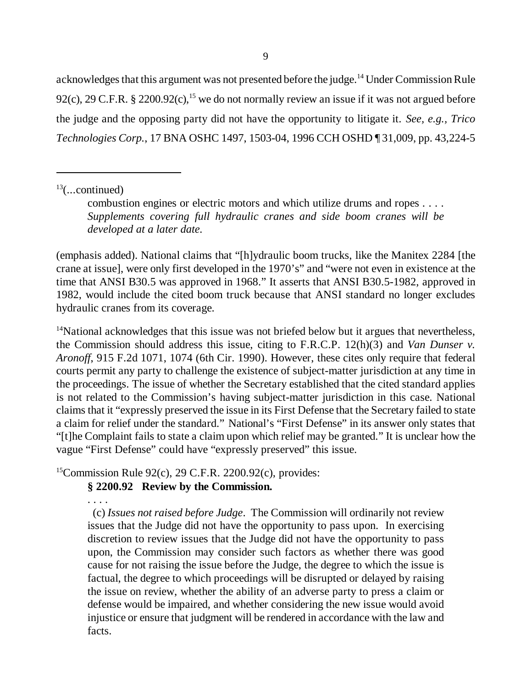acknowledges that this argument was not presented before the judge.<sup>14</sup> Under Commission Rule 92(c), 29 C.F.R. § 2200.92(c),<sup>15</sup> we do not normally review an issue if it was not argued before the judge and the opposing party did not have the opportunity to litigate it. *See, e.g., Trico Technologies Corp.*, 17 BNA OSHC 1497, 1503-04, 1996 CCH OSHD ¶ 31,009, pp. 43,224-5

 $13$ (...continued)

(emphasis added). National claims that "[h]ydraulic boom trucks, like the Manitex 2284 [the crane at issue], were only first developed in the 1970's" and "were not even in existence at the time that ANSI B30.5 was approved in 1968." It asserts that ANSI B30.5-1982, approved in 1982, would include the cited boom truck because that ANSI standard no longer excludes hydraulic cranes from its coverage.

 $14$ National acknowledges that this issue was not briefed below but it argues that nevertheless, the Commission should address this issue, citing to F.R.C.P. 12(h)(3) and *Van Dunser v. Aronoff*, 915 F.2d 1071, 1074 (6th Cir. 1990). However, these cites only require that federal courts permit any party to challenge the existence of subject-matter jurisdiction at any time in the proceedings. The issue of whether the Secretary established that the cited standard applies is not related to the Commission's having subject-matter jurisdiction in this case. National claims that it "expressly preserved the issue in its First Defense that the Secretary failed to state a claim for relief under the standard." National's "First Defense" in its answer only states that "[t]he Complaint fails to state a claim upon which relief may be granted." It is unclear how the vague "First Defense" could have "expressly preserved" this issue.

 $15$ Commission Rule 92(c), 29 C.F.R. 2200.92(c), provides:

# **§ 2200.92 Review by the Commission.**

. . . .

 (c) *Issues not raised before Judge*. The Commission will ordinarily not review issues that the Judge did not have the opportunity to pass upon. In exercising discretion to review issues that the Judge did not have the opportunity to pass upon, the Commission may consider such factors as whether there was good cause for not raising the issue before the Judge, the degree to which the issue is factual, the degree to which proceedings will be disrupted or delayed by raising the issue on review, whether the ability of an adverse party to press a claim or defense would be impaired, and whether considering the new issue would avoid injustice or ensure that judgment will be rendered in accordance with the law and facts.

combustion engines or electric motors and which utilize drums and ropes . . . . *Supplements covering full hydraulic cranes and side boom cranes will be developed at a later date.*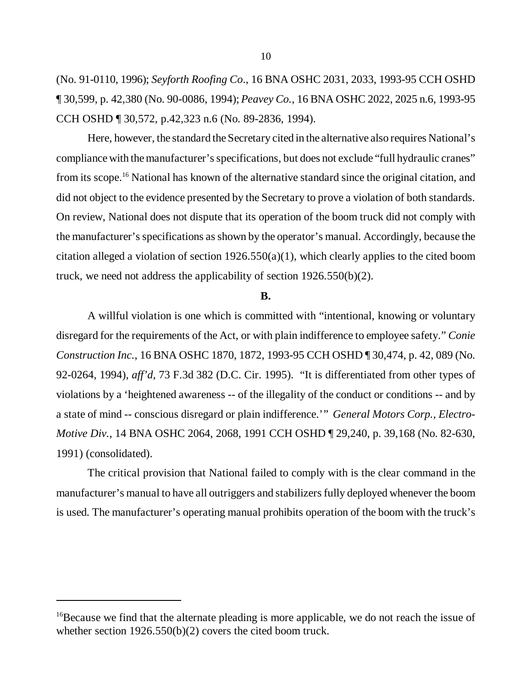(No. 91-0110, 1996); *Seyforth Roofing Co*., 16 BNA OSHC 2031, 2033, 1993-95 CCH OSHD ¶ 30,599, p. 42,380 (No. 90-0086, 1994); *Peavey Co.*, 16 BNA OSHC 2022, 2025 n.6, 1993-95 CCH OSHD ¶ 30,572, p.42,323 n.6 (No. 89-2836, 1994).

Here, however, the standard the Secretary cited in the alternative also requires National's compliance with the manufacturer's specifications, but does not exclude "full hydraulic cranes" from its scope.<sup>16</sup> National has known of the alternative standard since the original citation, and did not object to the evidence presented by the Secretary to prove a violation of both standards. On review, National does not dispute that its operation of the boom truck did not comply with the manufacturer's specifications as shown by the operator's manual. Accordingly, because the citation alleged a violation of section  $1926.550(a)(1)$ , which clearly applies to the cited boom truck, we need not address the applicability of section 1926.550(b)(2).

#### **B.**

A willful violation is one which is committed with "intentional, knowing or voluntary disregard for the requirements of the Act, or with plain indifference to employee safety." *Conie Construction Inc.*, 16 BNA OSHC 1870, 1872, 1993-95 CCH OSHD ¶ 30,474, p. 42, 089 (No. 92-0264, 1994), *aff'd,* 73 F.3d 382 (D.C. Cir. 1995). "It is differentiated from other types of violations by a 'heightened awareness -- of the illegality of the conduct or conditions -- and by a state of mind -- conscious disregard or plain indifference.'" *General Motors Corp., Electro-Motive Div.*, 14 BNA OSHC 2064, 2068, 1991 CCH OSHD ¶ 29,240, p. 39,168 (No. 82-630, 1991) (consolidated).

The critical provision that National failed to comply with is the clear command in the manufacturer's manual to have all outriggers and stabilizers fully deployed whenever the boom is used. The manufacturer's operating manual prohibits operation of the boom with the truck's

<sup>&</sup>lt;sup>16</sup>Because we find that the alternate pleading is more applicable, we do not reach the issue of whether section 1926.550(b)(2) covers the cited boom truck.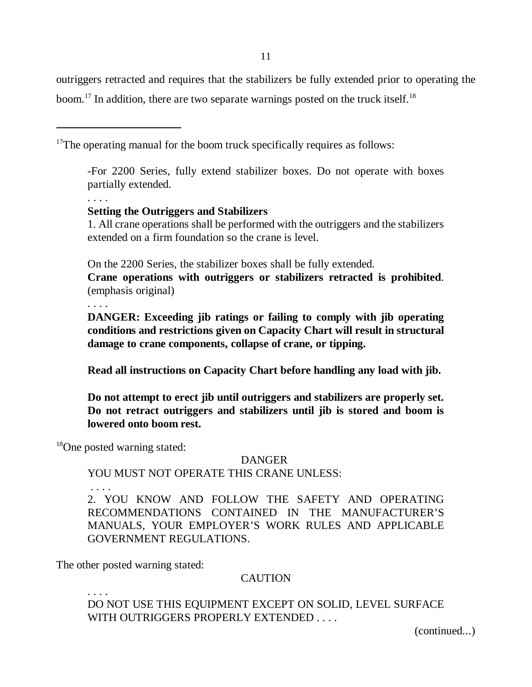11

outriggers retracted and requires that the stabilizers be fully extended prior to operating the boom.<sup>17</sup> In addition, there are two separate warnings posted on the truck itself.<sup>18</sup>

 $17$ The operating manual for the boom truck specifically requires as follows:

-For 2200 Series, fully extend stabilizer boxes. Do not operate with boxes partially extended.

**Setting the Outriggers and Stabilizers**

1. All crane operations shall be performed with the outriggers and the stabilizers extended on a firm foundation so the crane is level.

On the 2200 Series, the stabilizer boxes shall be fully extended.

**Crane operations with outriggers or stabilizers retracted is prohibited**. (emphasis original)

. . . .

. . . .

**DANGER: Exceeding jib ratings or failing to comply with jib operating conditions and restrictions given on Capacity Chart will result in structural damage to crane components, collapse of crane, or tipping.**

**Read all instructions on Capacity Chart before handling any load with jib.**

**Do not attempt to erect jib until outriggers and stabilizers are properly set. Do not retract outriggers and stabilizers until jib is stored and boom is lowered onto boom rest.** 

<sup>18</sup>One posted warning stated:

# DANGER

YOU MUST NOT OPERATE THIS CRANE UNLESS:

. . . .

. . . .

2. YOU KNOW AND FOLLOW THE SAFETY AND OPERATING RECOMMENDATIONS CONTAINED IN THE MANUFACTURER'S MANUALS, YOUR EMPLOYER'S WORK RULES AND APPLICABLE GOVERNMENT REGULATIONS.

The other posted warning stated:

# **CAUTION**

DO NOT USE THIS EQUIPMENT EXCEPT ON SOLID, LEVEL SURFACE WITH OUTRIGGERS PROPERLY EXTENDED . . . .

(continued...)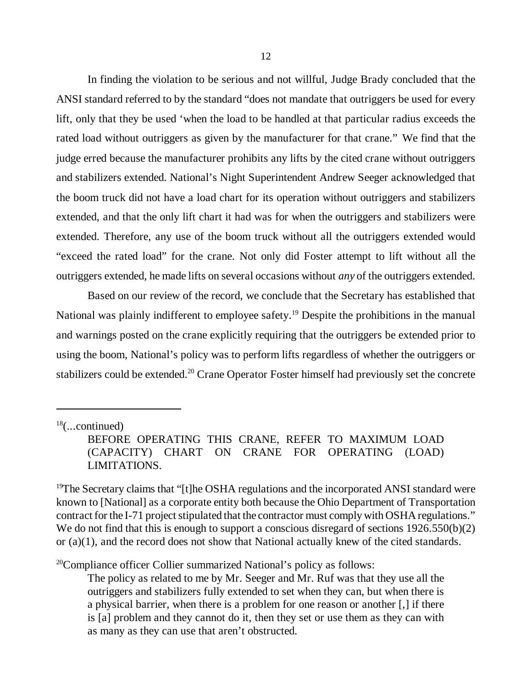In finding the violation to be serious and not willful, Judge Brady concluded that the ANSI standard referred to by the standard "does not mandate that outriggers be used for every lift, only that they be used 'when the load to be handled at that particular radius exceeds the rated load without outriggers as given by the manufacturer for that crane." We find that the judge erred because the manufacturer prohibits any lifts by the cited crane without outriggers and stabilizers extended. National's Night Superintendent Andrew Seeger acknowledged that the boom truck did not have a load chart for its operation without outriggers and stabilizers extended, and that the only lift chart it had was for when the outriggers and stabilizers were extended. Therefore, any use of the boom truck without all the outriggers extended would "exceed the rated load" for the crane. Not only did Foster attempt to lift without all the outriggers extended, he made lifts on several occasions without *any* of the outriggers extended.

Based on our review of the record, we conclude that the Secretary has established that National was plainly indifferent to employee safety.<sup>19</sup> Despite the prohibitions in the manual and warnings posted on the crane explicitly requiring that the outriggers be extended prior to using the boom, National's policy was to perform lifts regardless of whether the outriggers or stabilizers could be extended.<sup>20</sup> Crane Operator Foster himself had previously set the concrete

 $20$ Compliance officer Collier summarized National's policy as follows:

The policy as related to me by Mr. Seeger and Mr. Ruf was that they use all the outriggers and stabilizers fully extended to set when they can, but when there is a physical barrier, when there is a problem for one reason or another [,] if there is [a] problem and they cannot do it, then they set or use them as they can with as many as they can use that aren't obstructed.

 $18$ (...continued)

BEFORE OPERATING THIS CRANE, REFER TO MAXIMUM LOAD (CAPACITY) CHART ON CRANE FOR OPERATING (LOAD) LIMITATIONS.

<sup>&</sup>lt;sup>19</sup>The Secretary claims that "[t]he OSHA regulations and the incorporated ANSI standard were known to [National] as a corporate entity both because the Ohio Department of Transportation contract for the I-71 project stipulated that the contractor must comply with OSHA regulations." We do not find that this is enough to support a conscious disregard of sections 1926.550(b)(2) or (a)(1), and the record does not show that National actually knew of the cited standards.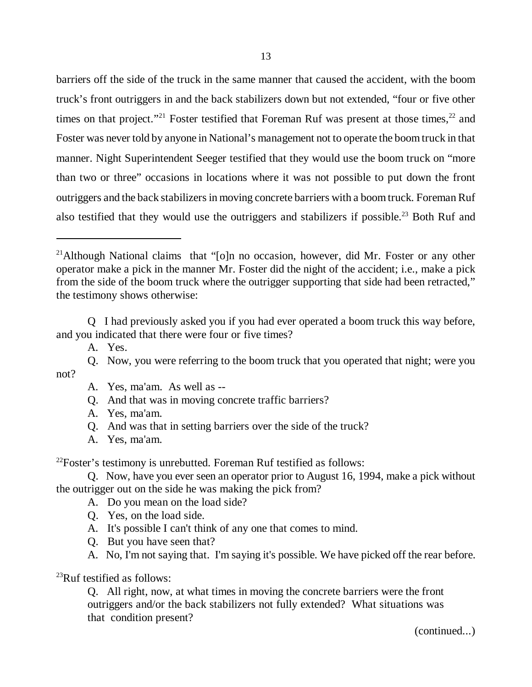barriers off the side of the truck in the same manner that caused the accident, with the boom truck's front outriggers in and the back stabilizers down but not extended, "four or five other times on that project."<sup>21</sup> Foster testified that Foreman Ruf was present at those times,<sup>22</sup> and Foster was never told by anyone in National's management not to operate the boom truck in that manner. Night Superintendent Seeger testified that they would use the boom truck on "more than two or three" occasions in locations where it was not possible to put down the front outriggers and the back stabilizers in moving concrete barriers with a boom truck. Foreman Ruf also testified that they would use the outriggers and stabilizers if possible.<sup>23</sup> Both Ruf and

Q I had previously asked you if you had ever operated a boom truck this way before, and you indicated that there were four or five times?

- Q. And that was in moving concrete traffic barriers?
- A. Yes, ma'am.
- Q. And was that in setting barriers over the side of the truck?
- A. Yes, ma'am.

 $22$ Foster's testimony is unrebutted. Foreman Ruf testified as follows:

Q. Now, have you ever seen an operator prior to August 16, 1994, make a pick without the outrigger out on the side he was making the pick from?

A. Do you mean on the load side?

- Q. Yes, on the load side.
- A. It's possible I can't think of any one that comes to mind.
- Q. But you have seen that?
- A. No, I'm not saying that. I'm saying it's possible. We have picked off the rear before.

<sup>23</sup>Ruf testified as follows:

Q. All right, now, at what times in moving the concrete barriers were the front outriggers and/or the back stabilizers not fully extended? What situations was that condition present?

(continued...)

<sup>&</sup>lt;sup>21</sup>Although National claims that "[o]n no occasion, however, did Mr. Foster or any other operator make a pick in the manner Mr. Foster did the night of the accident; i.e., make a pick from the side of the boom truck where the outrigger supporting that side had been retracted," the testimony shows otherwise:

A. Yes.

Q. Now, you were referring to the boom truck that you operated that night; were you not?

A. Yes, ma'am. As well as --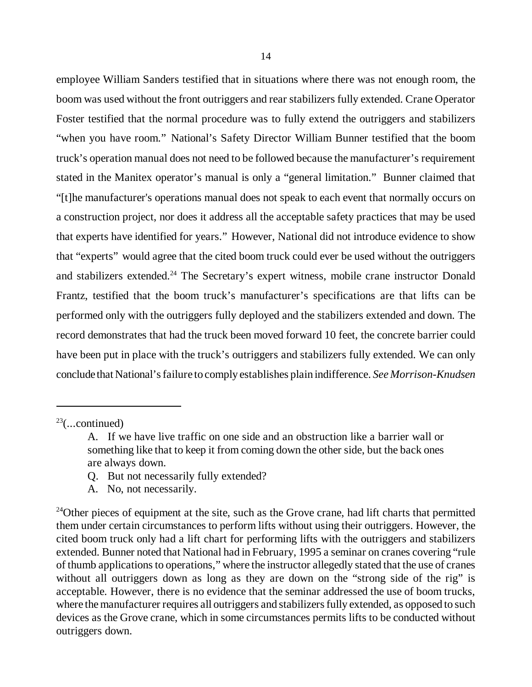employee William Sanders testified that in situations where there was not enough room, the boom was used without the front outriggers and rear stabilizers fully extended. Crane Operator Foster testified that the normal procedure was to fully extend the outriggers and stabilizers "when you have room." National's Safety Director William Bunner testified that the boom truck's operation manual does not need to be followed because the manufacturer's requirement stated in the Manitex operator's manual is only a "general limitation." Bunner claimed that "[t]he manufacturer's operations manual does not speak to each event that normally occurs on a construction project, nor does it address all the acceptable safety practices that may be used that experts have identified for years." However, National did not introduce evidence to show that "experts" would agree that the cited boom truck could ever be used without the outriggers and stabilizers extended.<sup>24</sup> The Secretary's expert witness, mobile crane instructor Donald Frantz, testified that the boom truck's manufacturer's specifications are that lifts can be performed only with the outriggers fully deployed and the stabilizers extended and down. The record demonstrates that had the truck been moved forward 10 feet, the concrete barrier could have been put in place with the truck's outriggers and stabilizers fully extended. We can only conclude that National's failure to comply establishes plain indifference. *See Morrison-Knudsen*

- Q. But not necessarily fully extended?
- A. No, not necessarily.

 $23$ (...continued)

A. If we have live traffic on one side and an obstruction like a barrier wall or something like that to keep it from coming down the other side, but the back ones are always down.

 $24$ Other pieces of equipment at the site, such as the Grove crane, had lift charts that permitted them under certain circumstances to perform lifts without using their outriggers. However, the cited boom truck only had a lift chart for performing lifts with the outriggers and stabilizers extended. Bunner noted that National had in February, 1995 a seminar on cranes covering "rule of thumb applications to operations," where the instructor allegedly stated that the use of cranes without all outriggers down as long as they are down on the "strong side of the rig" is acceptable. However, there is no evidence that the seminar addressed the use of boom trucks, where the manufacturer requires all outriggers and stabilizers fully extended, as opposed to such devices as the Grove crane, which in some circumstances permits lifts to be conducted without outriggers down.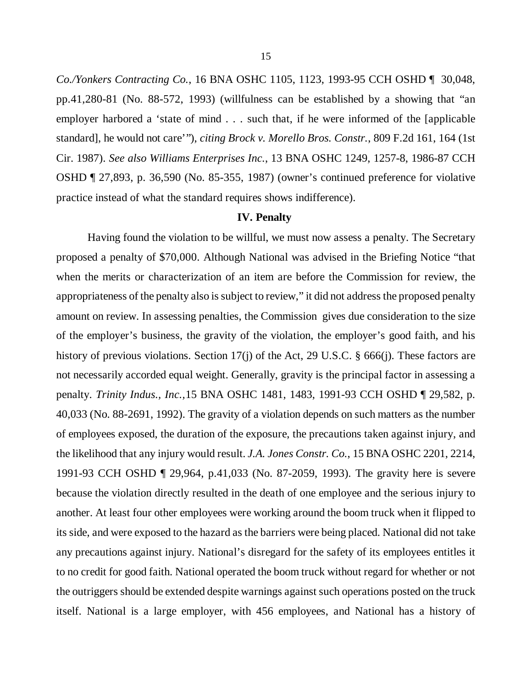*Co./Yonkers Contracting Co.*, 16 BNA OSHC 1105, 1123, 1993-95 CCH OSHD ¶ 30,048, pp.41,280-81 (No. 88-572, 1993) (willfulness can be established by a showing that "an employer harbored a 'state of mind . . . such that, if he were informed of the [applicable standard], he would not care'"), *citing Brock v. Morello Bros. Constr.*, 809 F.2d 161, 164 (1st Cir. 1987). *See also Williams Enterprises Inc.*, 13 BNA OSHC 1249, 1257-8, 1986-87 CCH OSHD ¶ 27,893, p. 36,590 (No. 85-355, 1987) (owner's continued preference for violative practice instead of what the standard requires shows indifference).

#### **IV. Penalty**

Having found the violation to be willful, we must now assess a penalty. The Secretary proposed a penalty of \$70,000. Although National was advised in the Briefing Notice "that when the merits or characterization of an item are before the Commission for review, the appropriateness of the penalty also is subject to review," it did not address the proposed penalty amount on review. In assessing penalties, the Commission gives due consideration to the size of the employer's business, the gravity of the violation, the employer's good faith, and his history of previous violations. Section 17(j) of the Act, 29 U.S.C. § 666(j). These factors are not necessarily accorded equal weight. Generally, gravity is the principal factor in assessing a penalty. *Trinity Indus., Inc.,*15 BNA OSHC 1481, 1483, 1991-93 CCH OSHD ¶ 29,582, p. 40,033 (No. 88-2691, 1992). The gravity of a violation depends on such matters as the number of employees exposed, the duration of the exposure, the precautions taken against injury, and the likelihood that any injury would result. *J.A. Jones Constr. Co.*, 15 BNA OSHC 2201, 2214, 1991-93 CCH OSHD ¶ 29,964, p.41,033 (No. 87-2059, 1993). The gravity here is severe because the violation directly resulted in the death of one employee and the serious injury to another. At least four other employees were working around the boom truck when it flipped to its side, and were exposed to the hazard as the barriers were being placed. National did not take any precautions against injury. National's disregard for the safety of its employees entitles it to no credit for good faith. National operated the boom truck without regard for whether or not the outriggers should be extended despite warnings against such operations posted on the truck itself. National is a large employer, with 456 employees, and National has a history of